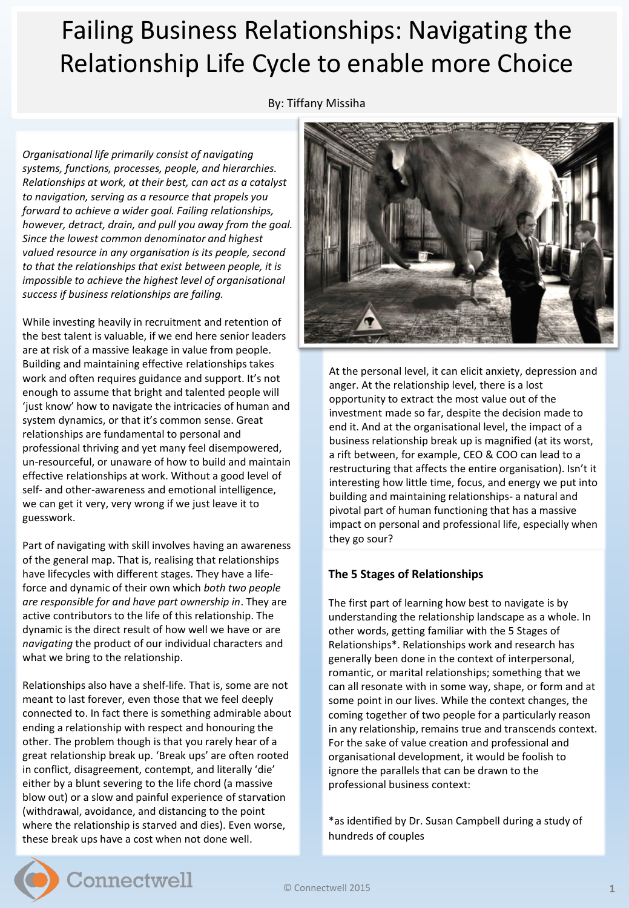## Failing Business Relationships: Navigating the Relationship Life Cycle to enable more Choice

By: Tiffany Missiha

*Organisational life primarily consist of navigating systems, functions, processes, people, and hierarchies. Relationships at work, at their best, can act as a catalyst to navigation, serving as a resource that propels you forward to achieve a wider goal. Failing relationships, however, detract, drain, and pull you away from the goal. Since the lowest common denominator and highest valued resource in any organisation is its people, second to that the relationships that exist between people, it is impossible to achieve the highest level of organisational success if business relationships are failing.*

While investing heavily in recruitment and retention of the best talent is valuable, if we end here senior leaders are at risk of a massive leakage in value from people. Building and maintaining effective relationships takes work and often requires guidance and support. It's not enough to assume that bright and talented people will 'just know' how to navigate the intricacies of human and system dynamics, or that it's common sense. Great relationships are fundamental to personal and professional thriving and yet many feel disempowered, un-resourceful, or unaware of how to build and maintain effective relationships at work. Without a good level of self- and other-awareness and emotional intelligence, we can get it very, very wrong if we just leave it to guesswork.

Part of navigating with skill involves having an awareness of the general map. That is, realising that relationships have lifecycles with different stages. They have a lifeforce and dynamic of their own which *both two people are responsible for and have part ownership in*. They are active contributors to the life of this relationship. The dynamic is the direct result of how well we have or are *navigating* the product of our individual characters and what we bring to the relationship.

Relationships also have a shelf-life. That is, some are not meant to last forever, even those that we feel deeply connected to. In fact there is something admirable about ending a relationship with respect and honouring the other. The problem though is that you rarely hear of a great relationship break up. 'Break ups' are often rooted in conflict, disagreement, contempt, and literally 'die' either by a blunt severing to the life chord (a massive blow out) or a slow and painful experience of starvation (withdrawal, avoidance, and distancing to the point where the relationship is starved and dies). Even worse, these break ups have a cost when not done well.



At the personal level, it can elicit anxiety, depression and anger. At the relationship level, there is a lost opportunity to extract the most value out of the investment made so far, despite the decision made to end it. And at the organisational level, the impact of a business relationship break up is magnified (at its worst, a rift between, for example, CEO & COO can lead to a restructuring that affects the entire organisation). Isn't it interesting how little time, focus, and energy we put into building and maintaining relationships- a natural and pivotal part of human functioning that has a massive impact on personal and professional life, especially when they go sour?

## **The 5 Stages of Relationships**

The first part of learning how best to navigate is by understanding the relationship landscape as a whole. In other words, getting familiar with the 5 Stages of Relationships\*. Relationships work and research has generally been done in the context of interpersonal, romantic, or marital relationships; something that we can all resonate with in some way, shape, or form and at some point in our lives. While the context changes, the coming together of two people for a particularly reason in any relationship, remains true and transcends context. For the sake of value creation and professional and organisational development, it would be foolish to ignore the parallels that can be drawn to the professional business context:

\*as identified by Dr. Susan Campbell during a study of hundreds of couples